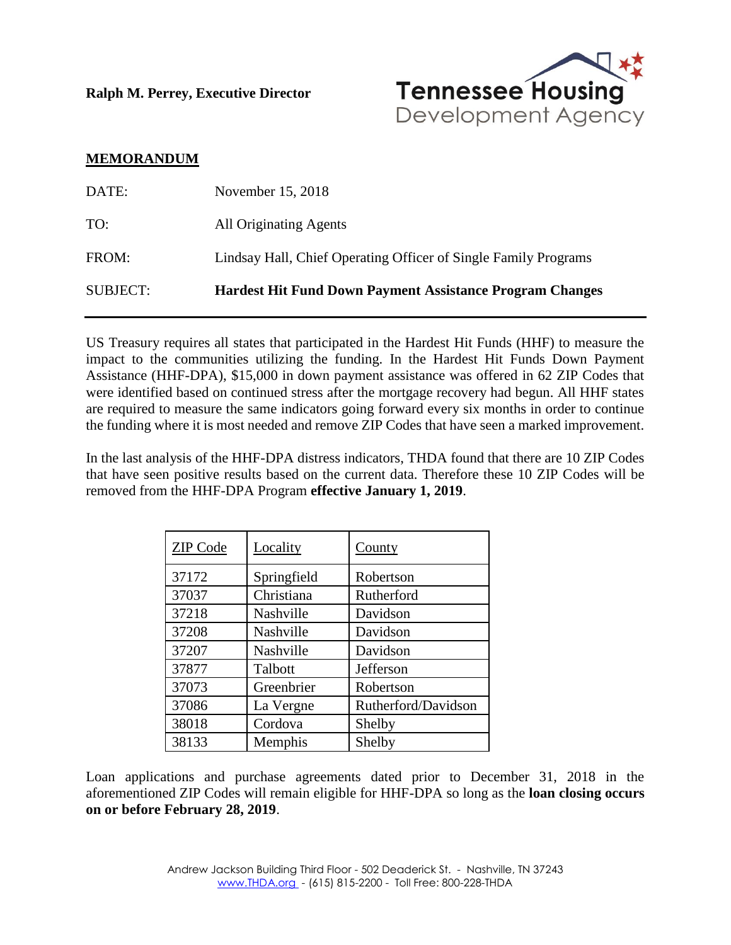**Ralph M. Perrey, Executive Director**



## **MEMORANDUM**

| <b>SUBJECT:</b> | <b>Hardest Hit Fund Down Payment Assistance Program Changes</b> |
|-----------------|-----------------------------------------------------------------|
| FROM:           | Lindsay Hall, Chief Operating Officer of Single Family Programs |
| TO:             | All Originating Agents                                          |
| DATE:           | November 15, 2018                                               |

US Treasury requires all states that participated in the Hardest Hit Funds (HHF) to measure the impact to the communities utilizing the funding. In the Hardest Hit Funds Down Payment Assistance (HHF-DPA), \$15,000 in down payment assistance was offered in 62 ZIP Codes that were identified based on continued stress after the mortgage recovery had begun. All HHF states are required to measure the same indicators going forward every six months in order to continue the funding where it is most needed and remove ZIP Codes that have seen a marked improvement.

In the last analysis of the HHF-DPA distress indicators, THDA found that there are 10 ZIP Codes that have seen positive results based on the current data. Therefore these 10 ZIP Codes will be removed from the HHF-DPA Program **effective January 1, 2019**.

| <b>ZIP</b> Code | Locality    | <b>County</b>       |
|-----------------|-------------|---------------------|
| 37172           | Springfield | Robertson           |
| 37037           | Christiana  | Rutherford          |
| 37218           | Nashville   | Davidson            |
| 37208           | Nashville   | Davidson            |
| 37207           | Nashville   | Davidson            |
| 37877           | Talbott     | Jefferson           |
| 37073           | Greenbrier  | Robertson           |
| 37086           | La Vergne   | Rutherford/Davidson |
| 38018           | Cordova     | Shelby              |
| 38133           | Memphis     | Shelby              |

Loan applications and purchase agreements dated prior to December 31, 2018 in the aforementioned ZIP Codes will remain eligible for HHF-DPA so long as the **loan closing occurs on or before February 28, 2019**.